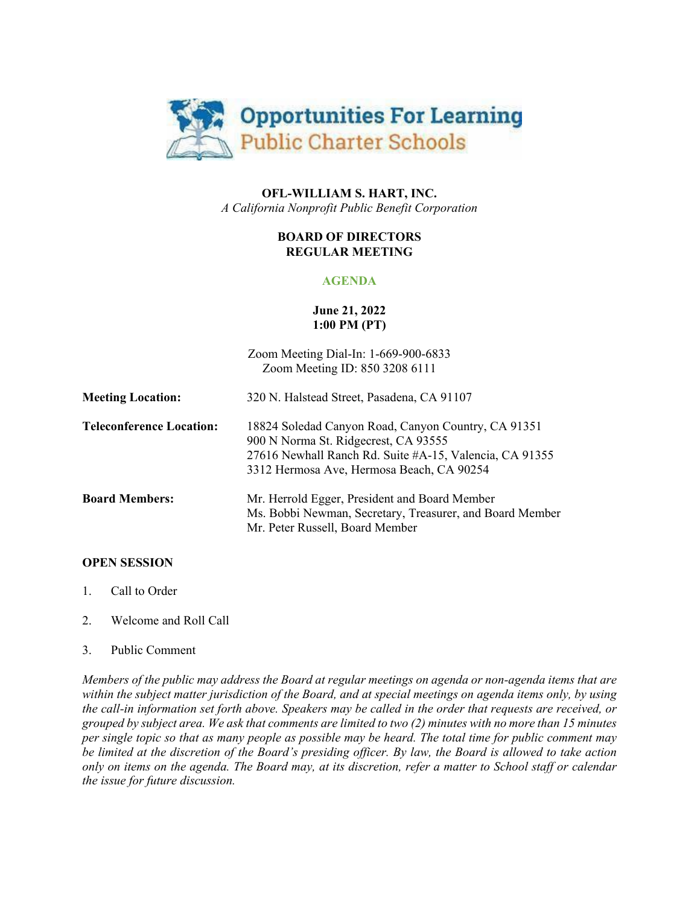

# **OFL-WILLIAM S. HART, INC.** *A California Nonprofit Public Benefit Corporation*

# **BOARD OF DIRECTORS REGULAR MEETING**

# **AGENDA**

## **June 21, 2022 1:00 PM (PT)**

Zoom Meeting Dial-In: 1-669-900-6833 Zoom Meeting ID: 850 3208 6111 **Meeting Location:** 320 N. Halstead Street, Pasadena, CA 91107 **Teleconference Location:** 18824 Soledad Canyon Road, Canyon Country, CA 91351 900 N Norma St. Ridgecrest, CA 93555 27616 Newhall Ranch Rd. Suite #A-15, Valencia, CA 91355 3312 Hermosa Ave, Hermosa Beach, CA 90254 **Board Members:** Mr. Herrold Egger, President and Board Member Ms. Bobbi Newman, Secretary, Treasurer, and Board Member Mr. Peter Russell, Board Member

## **OPEN SESSION**

- 1. Call to Order
- 2. Welcome and Roll Call
- 3. Public Comment

*Members of the public may address the Board at regular meetings on agenda or non-agenda items that are within the subject matter jurisdiction of the Board, and at special meetings on agenda items only, by using the call-in information set forth above. Speakers may be called in the order that requests are received, or grouped by subject area. We ask that comments are limited to two (2) minutes with no more than 15 minutes per single topic so that as many people as possible may be heard. The total time for public comment may be limited at the discretion of the Board's presiding officer. By law, the Board is allowed to take action only on items on the agenda. The Board may, at its discretion, refer a matter to School staff or calendar the issue for future discussion.*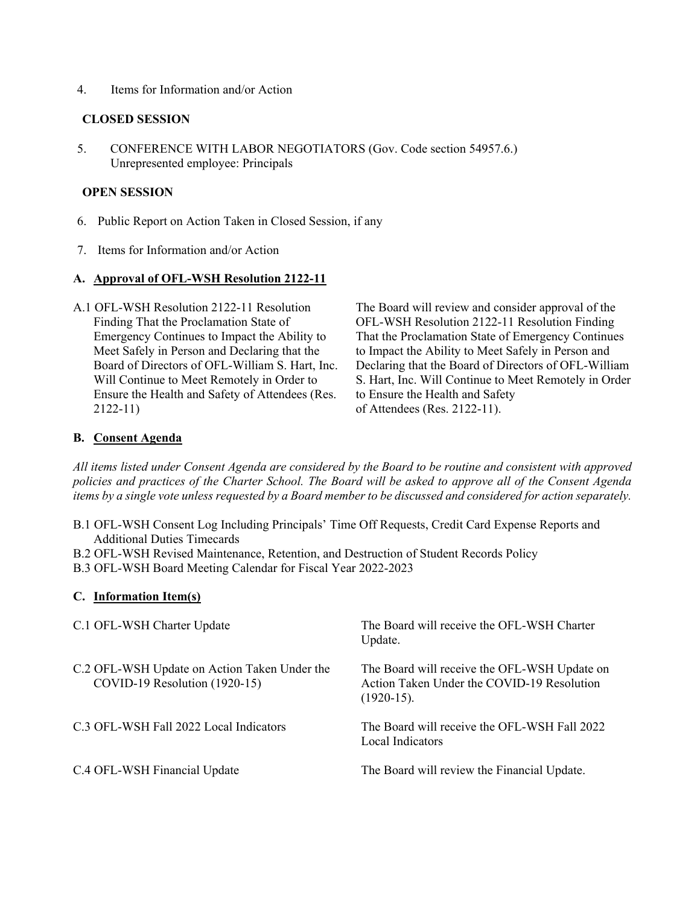4. Items for Information and/or Action

### **CLOSED SESSION**

5. CONFERENCE WITH LABOR NEGOTIATORS (Gov. Code section 54957.6.) Unrepresented employee: Principals

## **OPEN SESSION**

- 6. Public Report on Action Taken in Closed Session, if any
- 7. Items for Information and/or Action

## **A. Approval of OFL-WSH Resolution 2122-11**

A.1 OFL-WSH Resolution 2122-11 Resolution Finding That the Proclamation State of Emergency Continues to Impact the Ability to Meet Safely in Person and Declaring that the Board of Directors of OFL-William S. Hart, Inc. Will Continue to Meet Remotely in Order to Ensure the Health and Safety of Attendees (Res. 2122-11)

The Board will review and consider approval of the OFL-WSH Resolution 2122-11 Resolution Finding That the Proclamation State of Emergency Continues to Impact the Ability to Meet Safely in Person and Declaring that the Board of Directors of OFL-William S. Hart, Inc. Will Continue to Meet Remotely in Order to Ensure the Health and Safety of Attendees (Res. 2122-11).

### **B. Consent Agenda**

*All items listed under Consent Agenda are considered by the Board to be routine and consistent with approved policies and practices of the Charter School. The Board will be asked to approve all of the Consent Agenda items by a single vote unless requested by a Board member to be discussed and considered for action separately.*

- B.1 OFL-WSH Consent Log Including Principals' Time Off Requests, Credit Card Expense Reports and Additional Duties Timecards
- B.2 OFL-WSH Revised Maintenance, Retention, and Destruction of Student Records Policy
- B.3 OFL-WSH Board Meeting Calendar for Fiscal Year 2022-2023

#### **C. Information Item(s)**

| C.1 OFL-WSH Charter Update                                                    | The Board will receive the OFL-WSH Charter<br>Update.                                                      |
|-------------------------------------------------------------------------------|------------------------------------------------------------------------------------------------------------|
| C.2 OFL-WSH Update on Action Taken Under the<br>COVID-19 Resolution (1920-15) | The Board will receive the OFL-WSH Update on<br>Action Taken Under the COVID-19 Resolution<br>$(1920-15).$ |
| C.3 OFL-WSH Fall 2022 Local Indicators                                        | The Board will receive the OFL-WSH Fall 2022<br>Local Indicators                                           |
| C.4 OFL-WSH Financial Update                                                  | The Board will review the Financial Update.                                                                |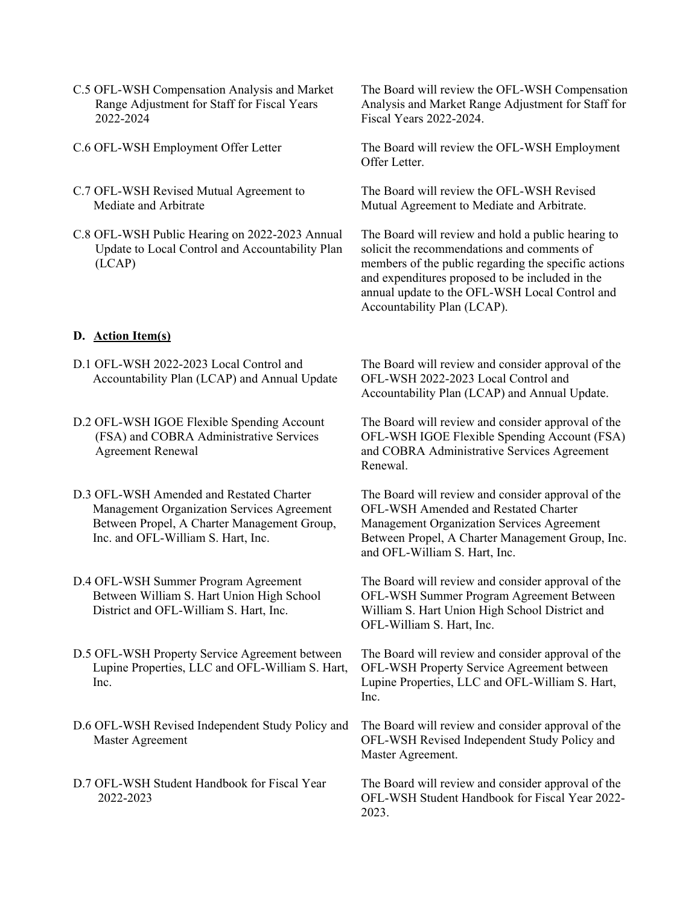- C.5 OFL-WSH Compensation Analysis and Market Range Adjustment for Staff for Fiscal Years 2022-2024
- 
- C.7 OFL-WSH Revised Mutual Agreement to Mediate and Arbitrate
- C.8 OFL-WSH Public Hearing on 2022-2023 Annual Update to Local Control and Accountability Plan (LCAP)

### **D. Action Item(s)**

- D.1 OFL-WSH 2022-2023 Local Control and Accountability Plan (LCAP) and Annual Update
- D.2 OFL-WSH IGOE Flexible Spending Account (FSA) and COBRA Administrative Services Agreement Renewal
- D.3 OFL-WSH Amended and Restated Charter Management Organization Services Agreement Between Propel, A Charter Management Group, Inc. and OFL-William S. Hart, Inc.
- D.4 OFL-WSH Summer Program Agreement Between William S. Hart Union High School District and OFL-William S. Hart, Inc.
- D.5 OFL-WSH Property Service Agreement between Lupine Properties, LLC and OFL-William S. Hart, Inc.
- D.6 OFL-WSH Revised Independent Study Policy and Master Agreement
- D.7 OFL-WSH Student Handbook for Fiscal Year 2022-2023

The Board will review the OFL-WSH Compensation Analysis and Market Range Adjustment for Staff for Fiscal Years 2022-2024.

C.6 OFL-WSH Employment Offer Letter The Board will review the OFL-WSH Employment Offer Letter.

> The Board will review the OFL-WSH Revised Mutual Agreement to Mediate and Arbitrate.

The Board will review and hold a public hearing to solicit the recommendations and comments of members of the public regarding the specific actions and expenditures proposed to be included in the annual update to the OFL-WSH Local Control and Accountability Plan (LCAP).

The Board will review and consider approval of the OFL-WSH 2022-2023 Local Control and Accountability Plan (LCAP) and Annual Update.

The Board will review and consider approval of the OFL-WSH IGOE Flexible Spending Account (FSA) and COBRA Administrative Services Agreement Renewal.

The Board will review and consider approval of the OFL-WSH Amended and Restated Charter Management Organization Services Agreement Between Propel, A Charter Management Group, Inc. and OFL-William S. Hart, Inc.

The Board will review and consider approval of the OFL-WSH Summer Program Agreement Between William S. Hart Union High School District and OFL-William S. Hart, Inc.

The Board will review and consider approval of the OFL-WSH Property Service Agreement between Lupine Properties, LLC and OFL-William S. Hart, Inc.

The Board will review and consider approval of the OFL-WSH Revised Independent Study Policy and Master Agreement.

The Board will review and consider approval of the OFL-WSH Student Handbook for Fiscal Year 2022- 2023.